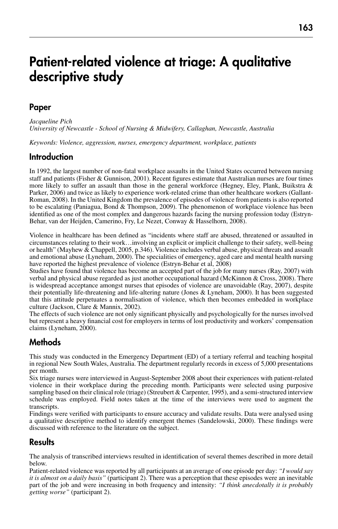# Patient-related violence at triage: A qualitative descriptive study

# Paper

*Jacqueline Pich University of Newcastle - School of Nursing & Midwifery, Callaghan, Newcastle, Australia*

*Keywords: Violence, aggression, nurses, emergency department, workplace, patients*

#### Introduction

In 1992, the largest number of non-fatal workplace assaults in the United States occurred between nursing staff and patients (Fisher & Gunnison, 2001). Recent figures estimate that Australian nurses are four times more likely to suffer an assault than those in the general workforce (Hegney, Eley, Plank, Buikstra  $\&$ Parker, 2006) and twice as likely to experience work-related crime than other healthcare workers (Gallant-Roman, 2008). In the United Kingdom the prevalence of episodes of violence from patients is also reported to be escalating (Paniagua, Bond & Thompson, 2009). The phenomenon of workplace violence has been identified as one of the most complex and dangerous hazards facing the nursing profession today (Estryn-Behar, van der Heijden, Camerino, Fry, Le Nezet, Conway & Hasselhorn, 2008).

Violence in healthcare has been defined as "incidents where staff are abused, threatened or assaulted in circumstances relating to their work…involving an explicit or implicit challenge to their safety, well-being or health" (Mayhew & Chappell, 2005, p.346). Violence includes verbal abuse, physical threats and assault and emotional abuse (Lyneham, 2000). The specialities of emergency, aged care and mental health nursing have reported the highest prevalence of violence (Estryn-Behar et al, 2008)

Studies have found that violence has become an accepted part of the job for many nurses (Ray, 2007) with verbal and physical abuse regarded as just another occupational hazard (McKinnon & Cross, 2008). There is widespread acceptance amongst nurses that episodes of violence are unavoidable (Ray, 2007), despite their potentially life-threatening and life-altering nature (Jones & Lyneham, 2000). It has been suggested that this attitude perpetuates a normalisation of violence, which then becomes embedded in workplace culture (Jackson, Clare & Mannix, 2002).

The effects of such violence are not only significant physically and psychologically for the nurses involved but represent a heavy financial cost for employers in terms of lost productivity and workers' compensation claims (Lyneham, 2000).

## Methods

This study was conducted in the Emergency Department (ED) of a tertiary referral and teaching hospital in regional New South Wales, Australia. The department regularly records in excess of 5,000 presentations per month.

Six triage nurses were interviewed in August-September 2008 about their experiences with patient-related violence in their workplace during the preceding month. Participants were selected using purposive sampling based on their clinical role (triage) (Streubert & Carpenter, 1995), and a semi-structured interview schedule was employed. Field notes taken at the time of the interviews were used to augment the transcripts.

Findings were verified with participants to ensure accuracy and validate results. Data were analysed using a qualitative descriptive method to identify emergent themes (Sandelowski, 2000). These findings were discussed with reference to the literature on the subject.

## **Results**

The analysis of transcribed interviews resulted in identification of several themes described in more detail below.

Patient-related violence was reported by all participants at an average of one episode per day: *"I would say it is almost on a daily basis"* (participant 2). There was a perception that these episodes were an inevitable part of the job and were increasing in both frequency and intensity: *"I think anecdotally it is probably getting worse"* (participant 2).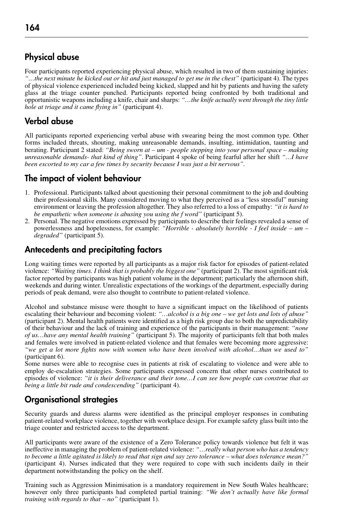# Physical abuse

Four participants reported experiencing physical abuse, which resulted in two of them sustaining injuries: *"…the next minute he kicked out or hit and just managed to get me in the chest"* (participant 4). The types of physical violence experienced included being kicked, slapped and hit by patients and having the safety glass at the triage counter punched. Participants reported being confronted by both traditional and opportunistic weapons including a knife, chair and sharps: *"…the knife actually went through the tiny little hole at triage and it came flying in"* (participant 4).

# Verbal abuse

All participants reported experiencing verbal abuse with swearing being the most common type. Other forms included threats, shouting, making unreasonable demands, insulting, intimidation, taunting and berating. Participant 2 stated: *"Being sworn at – um - people stepping into your personal space – making unreasonable demands- that kind of thing"*. Participant 4 spoke of being fearful after her shift *"…I have been escorted to my car a few times by security because I was just a bit nervous".*

# The impact of violent behaviour

- 1. Professional. Participants talked about questioning their personal commitment to the job and doubting their professional skills. Many considered moving to what they perceived as a "less stressful" nursing environment or leaving the profession altogether. They also referred to a loss of empathy: *"it is hard to be empathetic when someone is abusing you using the f word"* (participant 5).
- 2. Personal. The negative emotions expressed by participants to describe their feelings revealed a sense of powerlessness and hopelessness, for example: *"Horrible - absolutely horrible - I feel inside – um – degraded"* (participant 5).

# Antecedents and precipitating factors

Long waiting times were reported by all participants as a major risk factor for episodes of patient-related violence: *"Waiting times. I think that is probably the biggest one"* (participant 2). The most significant risk factor reported by participants was high patient volume in the department; particularly the afternoon shift, weekends and during winter. Unrealistic expectations of the workings of the department, especially during periods of peak demand, were also thought to contribute to patient-related violence.

Alcohol and substance misuse were thought to have a significant impact on the likelihood of patients escalating their behaviour and becoming violent: *"…alcohol is a big one – we get lots and lots of abuse"* (participant 2). Mental health patients were identified as a high risk group due to both the unpredictability of their behaviour and the lack of training and experience of the participants in their management: *"none of us…have any mental health training"* (participant 5). The majority of participants felt that both males and females were involved in patient-related violence and that females were becoming more aggressive: *"we get a lot more fights now with women who have been involved with alcohol…than we used to"*  (participant 6).

Some nurses were able to recognise cues in patients at risk of escalating to violence and were able to employ de-escalation strategies. Some participants expressed concern that other nurses contributed to episodes of violence: *"it is their deliverance and their tone…I can see how people can construe that as being a little bit rude and condescending"* (participant 4).

# Organisational strategies

Security guards and duress alarms were identified as the principal employer responses in combating patient-related workplace violence, together with workplace design. For example safety glass built into the triage counter and restricted access to the department.

All participants were aware of the existence of a Zero Tolerance policy towards violence but felt it was ineffective in managing the problem of patient-related violence: *"…really what person who has a tendency to become a little agitated is likely to read that sign and say zero tolerance – what does tolerance mean?"* (participant 4). Nurses indicated that they were required to cope with such incidents daily in their department notwithstanding the policy on the shelf.

Training such as Aggression Minimisation is a mandatory requirement in New South Wales healthcare; however only three participants had completed partial training: *"We don't actually have like formal training with regards to that – no"* (participant 1).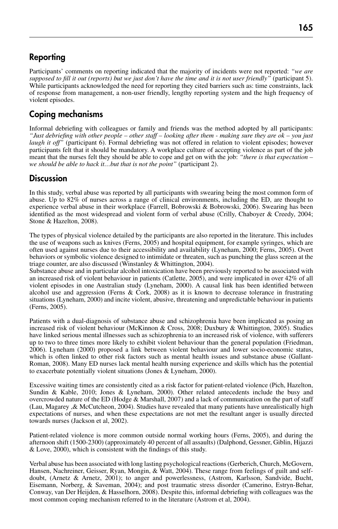# Reporting

Participants' comments on reporting indicated that the majority of incidents were not reported: *"we are supposed to fill it out (reports) but we just don't have the time and it is not user friendly"* (participant 5). While participants acknowledged the need for reporting they cited barriers such as: time constraints, lack of response from management, a non-user friendly, lengthy reporting system and the high frequency of violent episodes.

# Coping mechanisms

Informal debriefing with colleagues or family and friends was the method adopted by all participants: *"Just debriefing with other people – other staff – looking after them - making sure they are ok – you just laugh it off"* (participant 6). Formal debriefing was not offered in relation to violent episodes; however participants felt that it should be mandatory. A workplace culture of accepting violence as part of the job meant that the nurses felt they should be able to cope and get on with the job: *"there is that expectation – we should be able to hack it…but that is not the point"* (participant 2).

# **Discussion**

In this study, verbal abuse was reported by all participants with swearing being the most common form of abuse. Up to 82% of nurses across a range of clinical environments, including the ED, are thought to experience verbal abuse in their workplace (Farrell, Bobrowski & Bobrowski, 2006). Swearing has been identified as the most widespread and violent form of verbal abuse (Crilly, Chaboyer & Creedy, 2004; Stone & Hazelton, 2008).

The types of physical violence detailed by the participants are also reported in the literature. This includes the use of weapons such as knives (Ferns, 2005) and hospital equipment, for example syringes, which are often used against nurses due to their accessibility and availability (Lyneham, 2000; Ferns, 2005). Overt behaviors or symbolic violence designed to intimidate or threaten, such as punching the glass screen at the triage counter, are also discussed (Winstanley & Whittington, 2004).

Substance abuse and in particular alcohol intoxication have been previously reported to be associated with an increased risk of violent behaviour in patients (Catlette, 2005), and were implicated in over 42% of all violent episodes in one Australian study (Lyneham, 2000). A causal link has been identified between alcohol use and aggression (Ferns  $\&$  Cork, 2008) as it is known to decrease tolerance in frustrating situations (Lyneham, 2000) and incite violent, abusive, threatening and unpredictable behaviour in patients (Ferns, 2005).

Patients with a dual-diagnosis of substance abuse and schizophrenia have been implicated as posing an increased risk of violent behaviour (McKinnon & Cross, 2008; Duxbury & Whittington, 2005). Studies have linked serious mental illnesses such as schizophrenia to an increased risk of violence, with sufferers up to two to three times more likely to exhibit violent behaviour than the general population (Friedman, 2006). Lyneham (2000) proposed a link between violent behaviour and lower socio-economic status, which is often linked to other risk factors such as mental health issues and substance abuse (Gallant-Roman, 2008). Many ED nurses lack mental health nursing experience and skills which has the potential to exacerbate potentially violent situations (Jones & Lyneham, 2000).

Excessive waiting times are consistently cited as a risk factor for patient-related violence (Pich, Hazelton, Sundin & Kable, 2010; Jones & Lyneham, 2000). Other related antecedents include the busy and overcrowded nature of the ED (Hodge & Marshall, 2007) and a lack of communication on the part of staff (Lau, Magarey ,& McCutcheon, 2004). Studies have revealed that many patients have unrealistically high expectations of nurses, and when these expectations are not met the resultant anger is usually directed towards nurses (Jackson et al, 2002).

Patient-related violence is more common outside normal working hours (Ferns, 2005), and during the afternoon shift (1500-2300) (approximately 40 percent of all assaults) (Dalphond, Gessner, Giblin, Hijazzi & Love, 2000), which is consistent with the findings of this study.

Verbal abuse has been associated with long lasting psychological reactions (Gerberich, Church, McGovern, Hansen, Nachreiner, Geisser, Ryan, Mongin, & Watt, 2004). These range from feelings of guilt and selfdoubt, (Arnetz & Arnetz, 2001); to anger and powerlessness, (Astrom, Karlsson, Sandvide, Bucht, Eisemann, Norberg, & Saveman, 2004); and post traumatic stress disorder (Camerino, Estryn-Behar, Conway, van Der Heijden, & Hasselhorn, 2008). Despite this, informal debriefing with colleagues was the most common coping mechanism referred to in the literature (Astrom et al, 2004).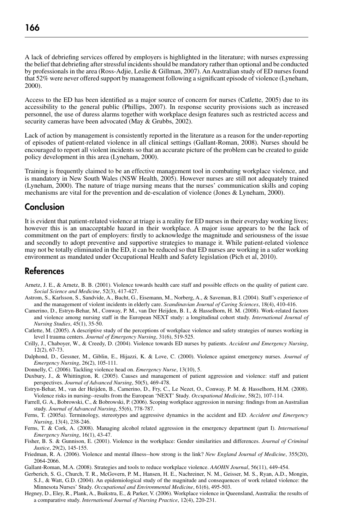A lack of debriefing services offered by employers is highlighted in the literature; with nurses expressing the belief that debriefing after stressful incidents should be mandatory rather than optional and be conducted by professionals in the area (Ross-Adjie, Leslie & Gillman, 2007). An Australian study of ED nurses found that 52% were never offered support by management following a significant episode of violence (Lyneham, 2000).

Access to the ED has been identified as a major source of concern for nurses (Catlette, 2005) due to its accessibility to the general public (Phillips, 2007). In response security provisions such as increased personnel, the use of duress alarms together with workplace design features such as restricted access and security cameras have been advocated (May & Grubbs, 2002).

Lack of action by management is consistently reported in the literature as a reason for the under-reporting of episodes of patient-related violence in all clinical settings (Gallant-Roman, 2008). Nurses should be encouraged to report all violent incidents so that an accurate picture of the problem can be created to guide policy development in this area (Lyneham, 2000).

Training is frequently claimed to be an effective management tool in combating workplace violence, and is mandatory in New South Wales (NSW Health, 2005). However nurses are still not adequately trained (Lyneham, 2000). The nature of triage nursing means that the nurses' communication skills and coping mechanisms are vital for the prevention and de-escalation of violence (Jones & Lyneham, 2000).

#### Conclusion

It is evident that patient-related violence at triage is a reality for ED nurses in their everyday working lives; however this is an unacceptable hazard in their workplace. A major issue appears to be the lack of commitment on the part of employers: firstly to acknowledge the magnitude and seriousness of the issue and secondly to adopt preventive and supportive strategies to manage it. While patient-related violence may not be totally eliminated in the ED, it can be reduced so that ED nurses are working in a safer working environment as mandated under Occupational Health and Safety legislation (Pich et al, 2010).

#### References

- Arnetz, J. E., & Arnetz, B. B. (2001). Violence towards health care staff and possible effects on the quality of patient care. *Social Science and Medicine*, 52(3), 417-427.
- Astrom, S., Karlsson, S., Sandvide, A., Bucht, G., Eisemann, M., Norberg, A., & Saveman, B.I. (2004). Staff's experience of and the management of violent incidents in elderly care. *Scandinavian Journal of Caring Sciences*, 18(4), 410-416.
- Camerino, D., Estryn-Behar, M., Conway, P. M., van Der Heijden, B. I., & Hasselhorn, H. M. (2008). Work-related factors and violence among nursing staff in the European NEXT study: a longitudinal cohort study. *International Journal of Nursing Studies*, 45(1), 35-50.
- Catlette, M. (2005). A descriptive study of the perceptions of workplace violence and safety strategies of nurses working in level I trauma centers. *Journal of Emergency Nursing*, 31(6), 519-525.
- Crilly, J., Chaboyer, W., & Creedy, D. (2004). Violence towards ED nurses by patients. *Accident and Emergency Nursing*, 12(2), 67-73.
- Dalphond, D., Gessner, M., Giblin, E., Hijazzi, K. & Love, C. (2000). Violence against emergency nurses. *Journal of Emergency Nursing*, 26(2), 105-111.
- Donnelly, C. (2006). Tackling violence head on. *Emergency Nurse*, 13(10), 5.
- Duxbury, J., & Whittington, R. (2005). Causes and management of patient aggression and violence: staff and patient perspectives. *Journal of Advanced Nursing*, 50(5), 469-478.
- Estryn-Behar, M., van der Heijden, B., Camerino, D., Fry, C., Le Nezet, O., Conway, P. M. & Hasselhorn, H.M. (2008). Violence risks in nursing--results from the European 'NEXT' Study. *Occupational Medicine*, 58(2), 107-114.
- Farrell, G. A., Bobrowski, C., & Bobrowski, P. (2006). Scoping workplace aggression in nursing: findings from an Australian study. *Journal of Advanced Nursing*, 55(6), 778-787.
- Ferns, T. (2005a). Terminology, stereotypes and aggressive dynamics in the accident and ED. *Accident and Emergency Nursing*, 13(4), 238-246.
- Ferns, T. & Cork, A. (2008). Managing alcohol related aggression in the emergency department (part I). *International Emergency Nursing*, 16(1), 43-47.
- Fisher, B. S. & Gunnison, E. (2001). Violence in the workplace: Gender similarities and differences. *Journal of Criminal Justice*, 29(2), 145-155.
- Friedman, R. A. (2006). Violence and mental illness--how strong is the link? *New England Journal of Medicine*, 355(20), 2064-2066.
- Gallant-Roman, M.A. (2008). Strategies and tools to reduce workplace violence. *AAOHN Journal*, 56(11), 449-454.
- Gerberich, S. G., Church, T. R., McGovern, P. M., Hansen, H. E., Nachreiner, N. M., Geisser, M. S., Ryan, A.D., Mongin, S.J., & Watt, G.D. (2004). An epidemiological study of the magnitude and consequences of work related violence: the Minnesota Nurses' Study. *Occupational and Environmental Medicine*, 61(6), 495-503.
- Hegney, D., Eley, R., Plank, A., Buikstra, E., & Parker, V. (2006). Workplace violence in Queensland, Australia: the results of a comparative study. *International Journal of Nursing Practice*, 12(4), 220-231.